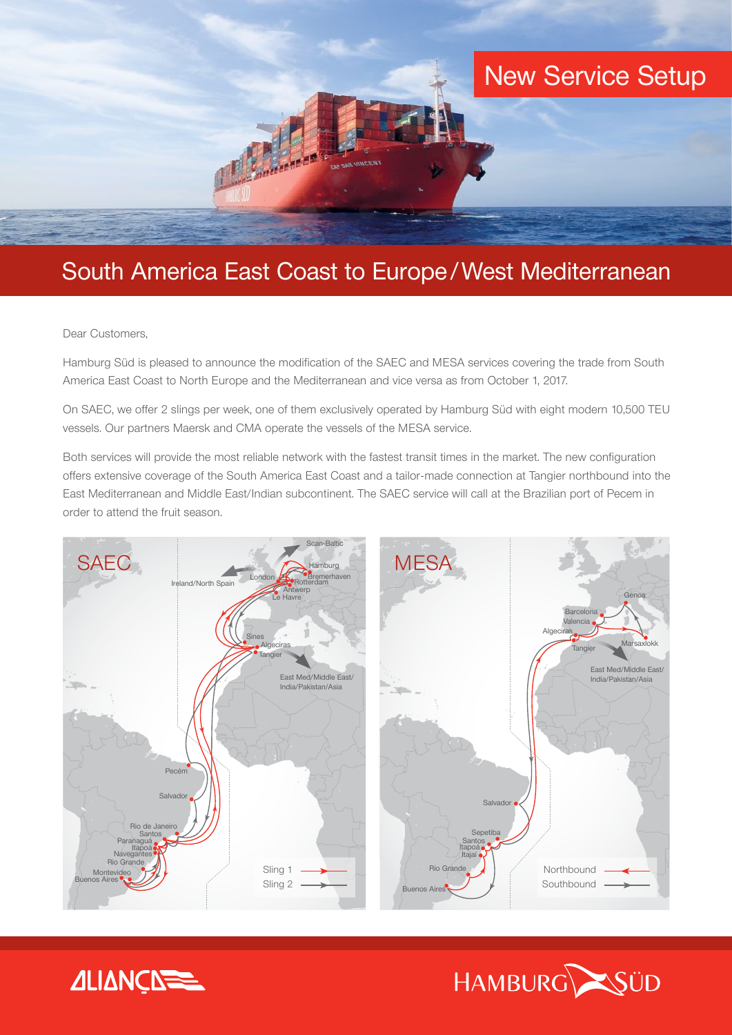

# South America East Coast to Europe/West Mediterranean

Dear Customers,

Hamburg Süd is pleased to announce the modification of the SAEC and MESA services covering the trade from South America East Coast to North Europe and the Mediterranean and vice versa as from October 1, 2017.

On SAEC, we offer 2 slings per week, one of them exclusively operated by Hamburg Süd with eight modern 10,500 TEU vessels. Our partners Maersk and CMA operate the vessels of the MESA service.

Both services will provide the most reliable network with the fastest transit times in the market. The new configuration offers extensive coverage of the South America East Coast and a tailor-made connection at Tangier northbound into the East Mediterranean and Middle East/Indian subcontinent. The SAEC service will call at the Brazilian port of Pecem in order to attend the fruit season.





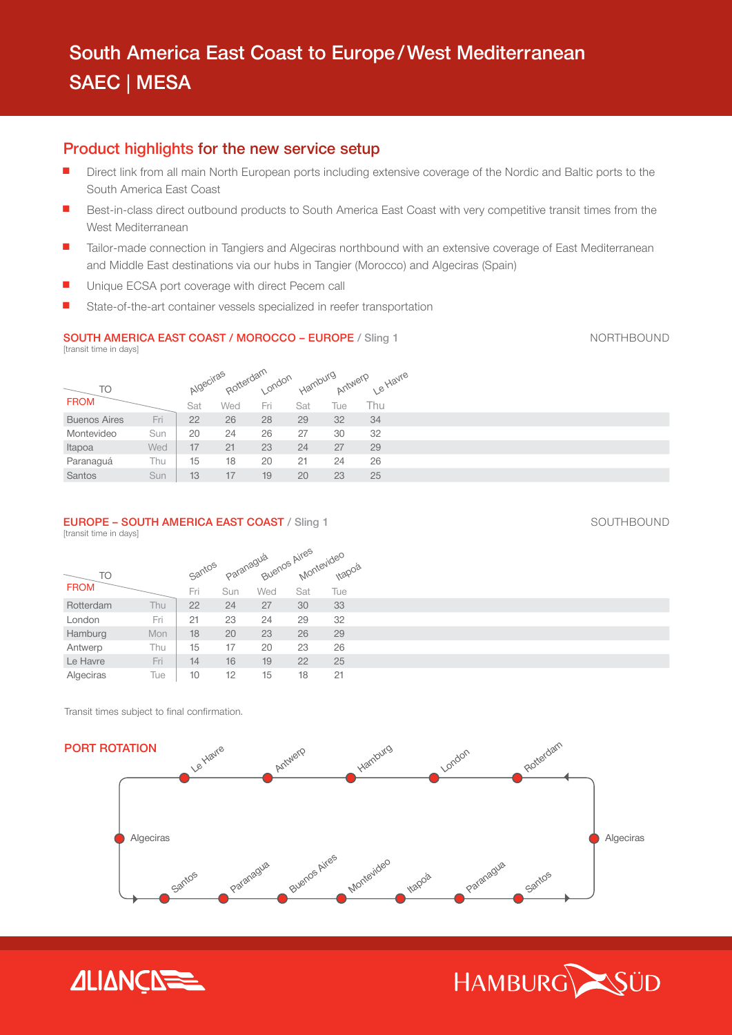## Product highlights for the new service setup

- Direct link from all main North European ports including extensive coverage of the Nordic and Baltic ports to the South America East Coast
- n Best-in-class direct outbound products to South America East Coast with very competitive transit times from the West Mediterranean
- n Tailor-made connection in Tangiers and Algeciras northbound with an extensive coverage of East Mediterranean and Middle East destinations via our hubs in Tangier (Morocco) and Algeciras (Spain)
- Unique ECSA port coverage with direct Pecem call
- State-of-the-art container vessels specialized in reefer transportation

## SOUTH AMERICA EAST COAST / MOROCCO – EUROPE / Sling 1 NORTHBOUND

[transit time in days]

|                     |     | Algeciras |     |           | Hamburg | Antwerp | Le Havre |  |
|---------------------|-----|-----------|-----|-----------|---------|---------|----------|--|
| TO                  |     |           |     | Rotterdam |         |         |          |  |
| <b>FROM</b>         |     | Sat       | Wed | Fri       | Sat     | Tue     | Thu      |  |
| <b>Buenos Aires</b> | Fri | 22        | 26  | 28        | 29      | 32      | 34       |  |
| Montevideo          | Sun | 20        | 24  | 26        | 27      | 30      | 32       |  |
| Itapoa              | Wed | 17        | 21  | 23        | 24      | 27      | 29       |  |
| Paranaguá           | Thu | 15        | 18  | 20        | 21      | 24      | 26       |  |
| Santos              | Sun | 13        | 17  | 19        | 20      | 23      | 25       |  |

### **EUROPE – SOUTH AMERICA EAST COAST** / Sling 1 SOUTHBOUND SOUTHBOUND

[transit time in days]

|             |     |        |     | Buenos Aires |     |                      |
|-------------|-----|--------|-----|--------------|-----|----------------------|
| <b>TO</b>   |     | Santos |     | Paranagua    |     | Montevideo<br>Itapns |
| <b>FROM</b> |     | Fri    | Sun | Wed          | Sat | Tue                  |
| Rotterdam   | Thu | 22     | 24  | 27           | 30  | 33                   |
| London      | Fri | 21     | 23  | 24           | 29  | 32                   |
| Hamburg     | Mon | 18     | 20  | 23           | 26  | 29                   |
| Antwerp     | Thu | 15     | 17  | 20           | 23  | 26                   |
| Le Havre    | Fri | 14     | 16  | 19           | 22  | 25                   |
| Algeciras   | Tue | 10     | 12  | 15           | 18  | 21                   |

Transit times subject to final confirmation.





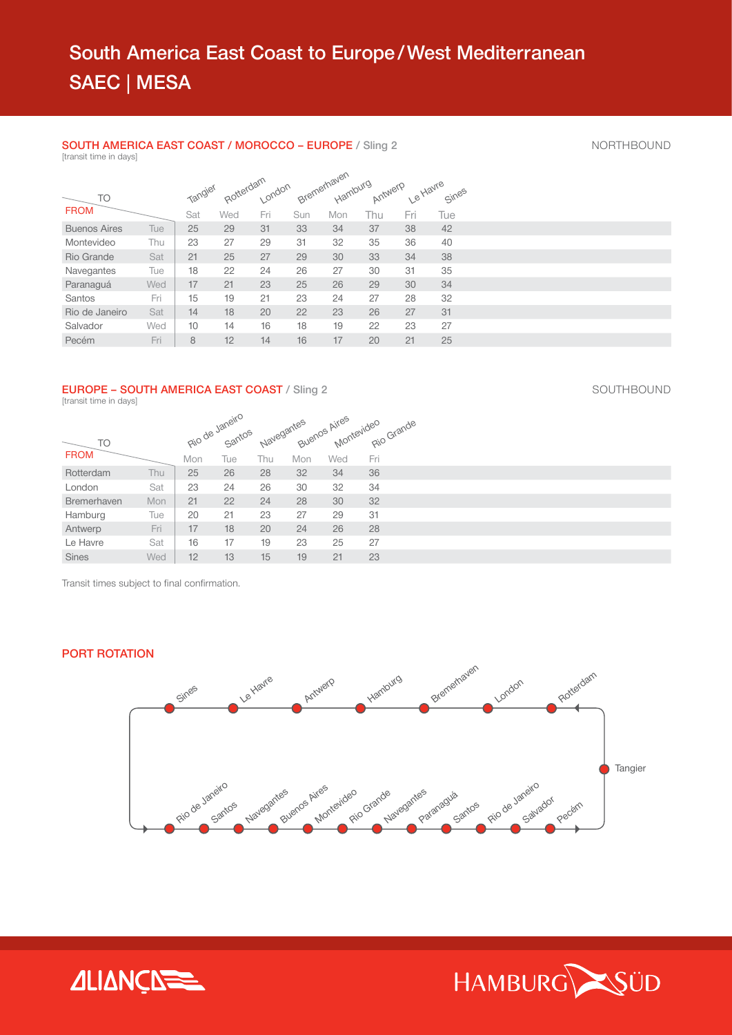#### SOUTH AMERICA EAST COAST / MOROCCO – EUROPE / Sling 2 NORTHBOUND [transit time in days]

|                     |     |         |                     |     |     | Bremerhaven |     |                  |       |
|---------------------|-----|---------|---------------------|-----|-----|-------------|-----|------------------|-------|
| TO                  |     | Tangier | Rotterdam<br>London |     |     |             |     | Antwerp Le Havre | Sines |
| <b>FROM</b>         |     | Sat     | Wed                 | Fri | Sun | Mon         | Thu | Fri              | Tue   |
| <b>Buenos Aires</b> | Tue | 25      | 29                  | 31  | 33  | 34          | 37  | 38               | 42    |
| Montevideo          | Thu | 23      | 27                  | 29  | 31  | 32          | 35  | 36               | 40    |
| Rio Grande          | Sat | 21      | 25                  | 27  | 29  | 30          | 33  | 34               | 38    |
| Navegantes          | Tue | 18      | 22                  | 24  | 26  | 27          | 30  | 31               | 35    |
| Paranaquá           | Wed | 17      | 21                  | 23  | 25  | 26          | 29  | 30               | 34    |
| Santos              | Fri | 15      | 19                  | 21  | 23  | 24          | 27  | 28               | 32    |
| Rio de Janeiro      | Sat | 14      | 18                  | 20  | 22  | 23          | 26  | 27               | 31    |
| Salvador            | Wed | 10      | 14                  | 16  | 18  | 19          | 22  | 23               | 27    |
| Pecém               | Fri | 8       | 12                  | 14  | 16  | 17          | 20  | 21               | 25    |

## EUROPE – SOUTH AMERICA EAST COAST / Sling 2 SOUTHBOUND

[transit time in days]

| <b>TO</b>          |     |     | Rio de Janeiro<br>Santos |     |     |     | Navegantes Avenos Aires evideo Grande |
|--------------------|-----|-----|--------------------------|-----|-----|-----|---------------------------------------|
| <b>FROM</b>        |     | Mon | Tue                      | Thu | Mon | Wed | Fri                                   |
| Rotterdam          | Thu | 25  | 26                       | 28  | 32  | 34  | 36                                    |
| London             | Sat | 23  | 24                       | 26  | 30  | 32  | 34                                    |
| <b>Bremerhaven</b> | Mon | 21  | 22                       | 24  | 28  | 30  | 32                                    |
| Hamburg            | Tue | 20  | 21                       | 23  | 27  | 29  | 31                                    |
| Antwerp            | Fri | 17  | 18                       | 20  | 24  | 26  | 28                                    |
| Le Havre           | Sat | 16  | 17                       | 19  | 23  | 25  | 27                                    |
| <b>Sines</b>       | Wed | 12  | 13                       | 15  | 19  | 21  | 23                                    |

Transit times subject to final confirmation.

## PORT ROTATION